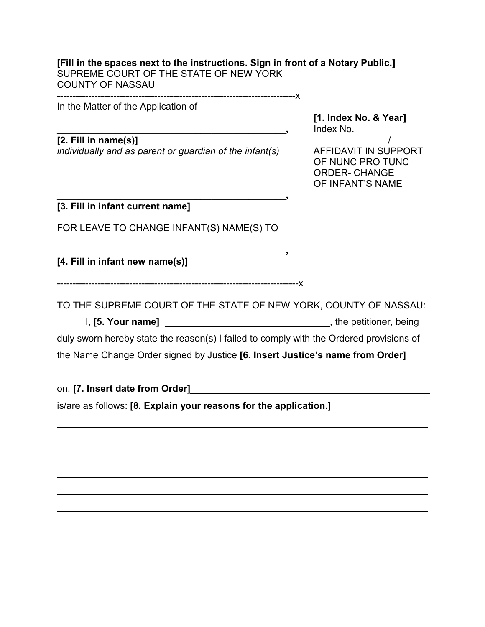#### **[Fill in the spaces next to the instructions. Sign in front of a Notary Public.]** SUPREME COURT OF THE STATE OF NEW YORK COUNTY OF NASSAU ----------------------------------------------------------------------------x

In the Matter of the Application of

**[1. Index No. & Year]** \_\_\_\_\_\_\_\_\_\_\_\_\_\_\_\_\_\_\_\_\_\_\_\_\_\_\_\_\_\_\_\_\_\_\_\_\_\_\_\_\_\_\_**,** Index No.

**[2. Fill in name(s)]** \_\_\_\_\_\_\_\_\_\_\_\_\_\_/\_\_\_\_\_ *individually and as parent or guardian of the infant(s)* AFFIDAVIT IN SUPPORT

OF NUNC PRO TUNC ORDER- CHANGE OF INFANT'S NAME

**[3. Fill in infant current name]**

FOR LEAVE TO CHANGE INFANT(S) NAME(S) TO

\_\_\_\_\_\_\_\_\_\_\_\_\_\_\_\_\_\_\_\_\_\_\_\_\_\_\_\_\_\_\_\_\_\_\_\_\_\_\_\_\_\_\_**,**

\_\_\_\_\_\_\_\_\_\_\_\_\_\_\_\_\_\_\_\_\_\_\_\_\_\_\_\_\_\_\_\_\_\_\_\_\_\_\_\_\_\_\_**,**

**[4. Fill in infant new name(s)]** 

-----------------------------------------------------------------------------x

TO THE SUPREME COURT OF THE STATE OF NEW YORK, COUNTY OF NASSAU:

I, **[5. Your name]** , the petitioner, being

duly sworn hereby state the reason(s) I failed to comply with the Ordered provisions of

the Name Change Order signed by Justice **[6. Insert Justice's name from Order]**

on, **[7. Insert date from Order]** 

is/are as follows: **[8. Explain your reasons for the application.]**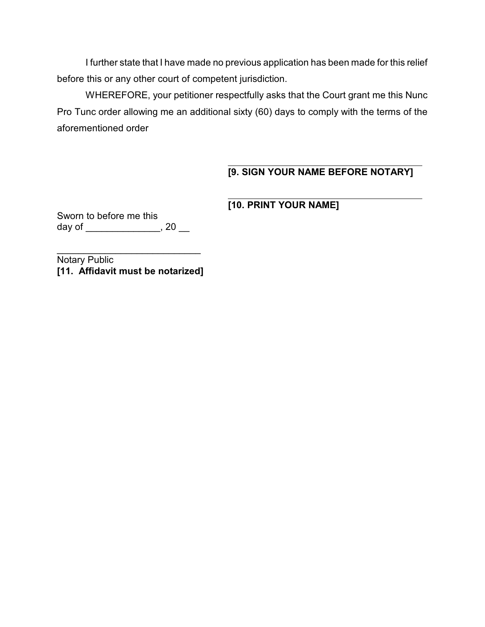I further state that I have made no previous application has been made for this relief before this or any other court of competent jurisdiction.

WHEREFORE, your petitioner respectfully asks that the Court grant me this Nunc Pro Tunc order allowing me an additional sixty (60) days to comply with the terms of the aforementioned order

l

### $\overline{a}$ **[9. SIGN YOUR NAME BEFORE NOTARY]**

# **[10. PRINT YOUR NAME]**

Sworn to before me this day of \_\_\_\_\_\_\_\_\_\_\_\_\_\_\_, 20 \_\_

Notary Public **[11. Affidavit must be notarized]**

\_\_\_\_\_\_\_\_\_\_\_\_\_\_\_\_\_\_\_\_\_\_\_\_\_\_\_